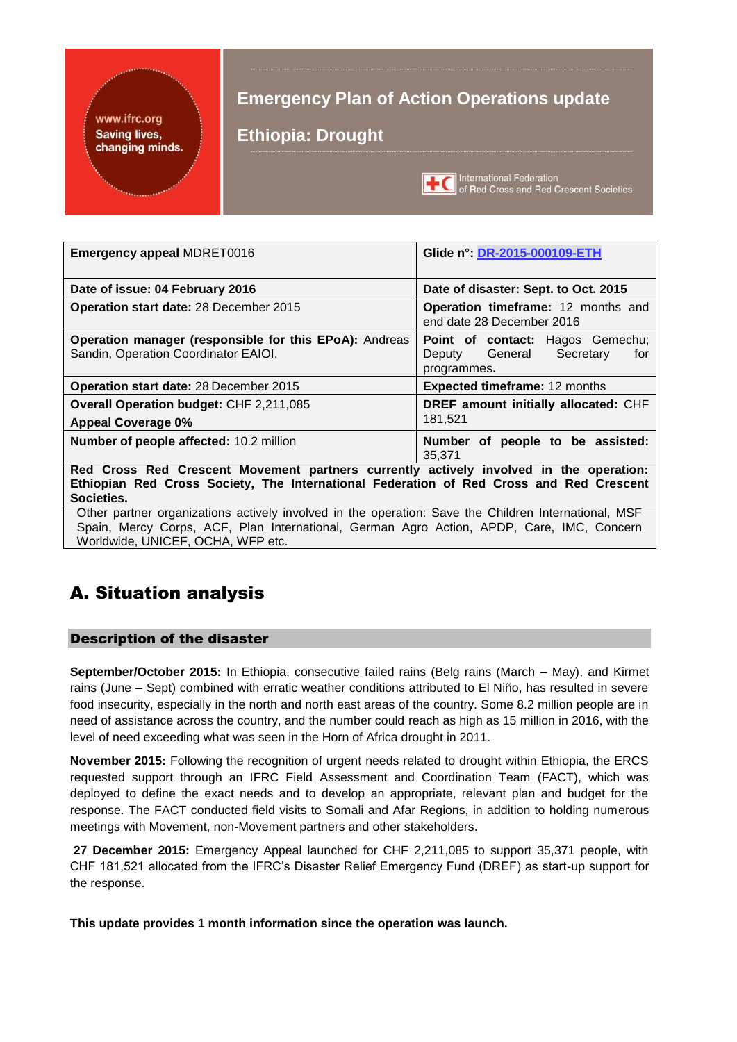### www.ifrc.org **Saving lives,** changing minds.

## **Emergency Plan of Action Operations update**

**Ethiopia: Drought**



International Federation<br> **TEC** of Red Cross and Red Crescent Societies

| <b>Emergency appeal MDRET0016</b>                                                                                                                                                               | Glide n°: DR-2015-000109-ETH                                                          |
|-------------------------------------------------------------------------------------------------------------------------------------------------------------------------------------------------|---------------------------------------------------------------------------------------|
| Date of issue: 04 February 2016                                                                                                                                                                 | Date of disaster: Sept. to Oct. 2015                                                  |
| Operation start date: 28 December 2015                                                                                                                                                          | Operation timeframe: 12 months and<br>end date 28 December 2016                       |
| Operation manager (responsible for this EPoA): Andreas<br>Sandin, Operation Coordinator EAIOI.                                                                                                  | Point of contact: Hagos Gemechu;<br>Deputy General<br>Secretary<br>for<br>programmes. |
| <b>Operation start date: 28 December 2015</b>                                                                                                                                                   | <b>Expected timeframe: 12 months</b>                                                  |
| Overall Operation budget: CHF 2,211,085<br><b>Appeal Coverage 0%</b>                                                                                                                            | DREF amount initially allocated: CHF<br>181.521                                       |
| Number of people affected: 10.2 million                                                                                                                                                         | Number of people to be assisted:<br>35.371                                            |
| Red Cross Red Crescent Movement partners currently actively involved in the operation:<br>Ethiopian Red Cross Society, The International Federation of Red Cross and Red Crescent<br>Societies. |                                                                                       |
| Other partner organizations actively involved in the operation: Save the Children International, MSF                                                                                            |                                                                                       |

Spain, Mercy Corps, ACF, Plan International, German Agro Action, APDP, Care, IMC, Concern Worldwide, UNICEF, OCHA, WFP etc.

# A. Situation analysis

### Description of the disaster

**September/October 2015:** In Ethiopia, consecutive failed rains (Belg rains (March – May), and Kirmet rains (June – Sept) combined with erratic weather conditions attributed to El Niño, has resulted in severe food insecurity, especially in the north and north east areas of the country. Some 8.2 million people are in need of assistance across the country, and the number could reach as high as 15 million in 2016, with the level of need exceeding what was seen in the Horn of Africa drought in 2011.

**November 2015:** Following the recognition of urgent needs related to drought within Ethiopia, the ERCS requested support through an IFRC Field Assessment and Coordination Team (FACT), which was deployed to define the exact needs and to develop an appropriate, relevant plan and budget for the response. The FACT conducted field visits to Somali and Afar Regions, in addition to holding numerous meetings with Movement, non-Movement partners and other stakeholders.

**27 December 2015:** Emergency Appeal launched for CHF 2,211,085 to support 35,371 people, with CHF 181,521 allocated from the IFRC's Disaster Relief Emergency Fund (DREF) as start-up support for the response.

**This update provides 1 month information since the operation was launch.**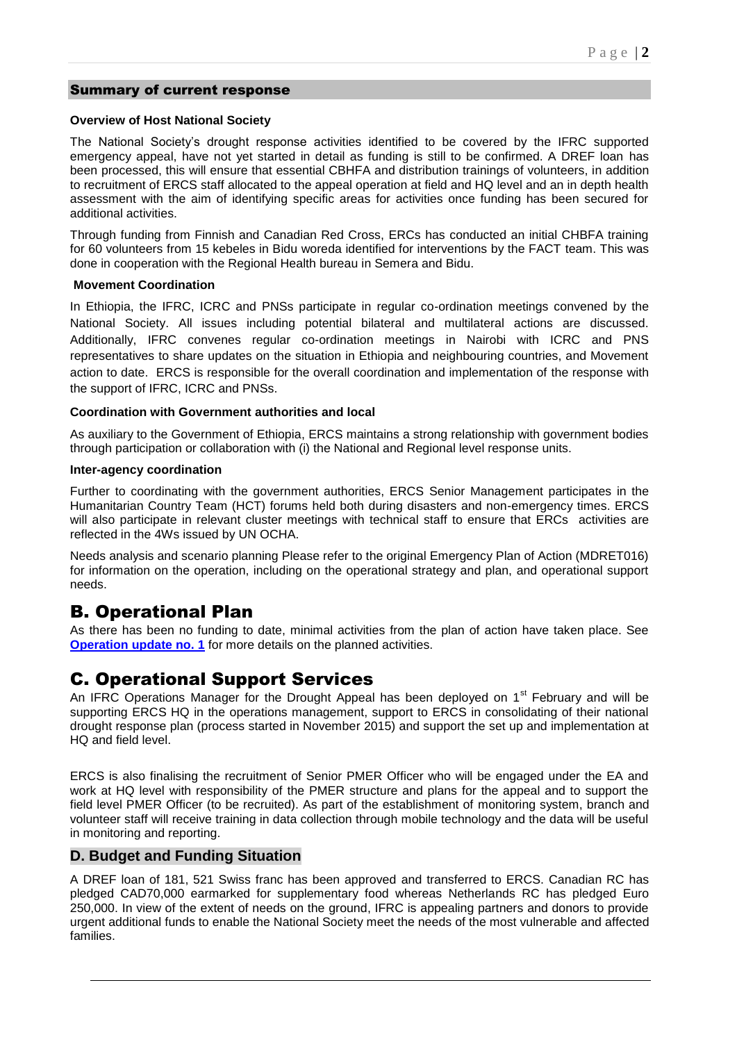#### Summary of current response

#### **Overview of Host National Society**

The National Society's drought response activities identified to be covered by the IFRC supported emergency appeal, have not yet started in detail as funding is still to be confirmed. A DREF loan has been processed, this will ensure that essential CBHFA and distribution trainings of volunteers, in addition to recruitment of ERCS staff allocated to the appeal operation at field and HQ level and an in depth health assessment with the aim of identifying specific areas for activities once funding has been secured for additional activities.

Through funding from Finnish and Canadian Red Cross, ERCs has conducted an initial CHBFA training for 60 volunteers from 15 kebeles in Bidu woreda identified for interventions by the FACT team. This was done in cooperation with the Regional Health bureau in Semera and Bidu.

#### **Movement Coordination**

In Ethiopia, the IFRC, ICRC and PNSs participate in regular co-ordination meetings convened by the National Society. All issues including potential bilateral and multilateral actions are discussed. Additionally, IFRC convenes regular co-ordination meetings in Nairobi with ICRC and PNS representatives to share updates on the situation in Ethiopia and neighbouring countries, and Movement action to date. ERCS is responsible for the overall coordination and implementation of the response with the support of IFRC, ICRC and PNSs.

#### **Coordination with Government authorities and local**

As auxiliary to the Government of Ethiopia, ERCS maintains a strong relationship with government bodies through participation or collaboration with (i) the National and Regional level response units.

#### **Inter-agency coordination**

Further to coordinating with the government authorities, ERCS Senior Management participates in the Humanitarian Country Team (HCT) forums held both during disasters and non-emergency times. ERCS will also participate in relevant cluster meetings with technical staff to ensure that ERCs activities are reflected in the 4Ws issued by UN OCHA.

Needs analysis and scenario planning Please refer to the original Emergency Plan of Action (MDRET016) for information on the operation, including on the operational strategy and plan, and operational support needs.

## B. Operational Plan

As there has been no funding to date, minimal activities from the plan of action have taken place. See **[Operation update no. 1](http://adore.ifrc.org/Download.aspx?FileId=120393)** for more details on the planned activities.

## C. Operational Support Services

An IFRC Operations Manager for the Drought Appeal has been deployed on  $1<sup>st</sup>$  February and will be supporting ERCS HQ in the operations management, support to ERCS in consolidating of their national drought response plan (process started in November 2015) and support the set up and implementation at HQ and field level.

ERCS is also finalising the recruitment of Senior PMER Officer who will be engaged under the EA and work at HQ level with responsibility of the PMER structure and plans for the appeal and to support the field level PMER Officer (to be recruited). As part of the establishment of monitoring system, branch and volunteer staff will receive training in data collection through mobile technology and the data will be useful in monitoring and reporting.

### **D. Budget and Funding Situation**

A DREF loan of 181, 521 Swiss franc has been approved and transferred to ERCS. Canadian RC has pledged CAD70,000 earmarked for supplementary food whereas Netherlands RC has pledged Euro 250,000. In view of the extent of needs on the ground, IFRC is appealing partners and donors to provide urgent additional funds to enable the National Society meet the needs of the most vulnerable and affected families.